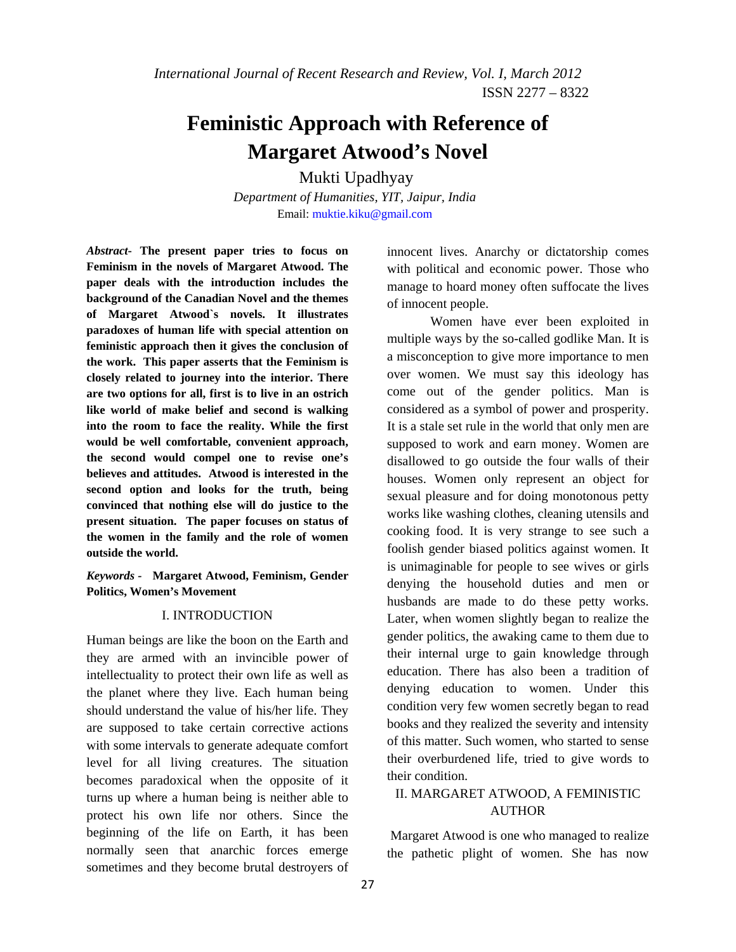# **Feministic Approach with Reference of Margaret Atwood's Novel**

 Mukti Upadhyay *Department of Humanities, YIT, Jaipur, India*  Email: muktie.kiku@gmail.com

*Abstract***- The present paper tries to focus on Feminism in the novels of Margaret Atwood. The paper deals with the introduction includes the background of the Canadian Novel and the themes of Margaret Atwood`s novels. It illustrates paradoxes of human life with special attention on feministic approach then it gives the conclusion of the work. This paper asserts that the Feminism is closely related to journey into the interior. There are two options for all, first is to live in an ostrich like world of make belief and second is walking into the room to face the reality. While the first would be well comfortable, convenient approach, the second would compel one to revise one's believes and attitudes. Atwood is interested in the second option and looks for the truth, being convinced that nothing else will do justice to the present situation. The paper focuses on status of the women in the family and the role of women outside the world.** 

*Keywords -* **Margaret Atwood, Feminism, Gender Politics, Women's Movement** 

#### I. INTRODUCTION

Human beings are like the boon on the Earth and they are armed with an invincible power of intellectuality to protect their own life as well as the planet where they live. Each human being should understand the value of his/her life. They are supposed to take certain corrective actions with some intervals to generate adequate comfort level for all living creatures. The situation becomes paradoxical when the opposite of it turns up where a human being is neither able to protect his own life nor others. Since the beginning of the life on Earth, it has been normally seen that anarchic forces emerge sometimes and they become brutal destroyers of

innocent lives. Anarchy or dictatorship comes with political and economic power. Those who manage to hoard money often suffocate the lives of innocent people.

Women have ever been exploited in multiple ways by the so-called godlike Man. It is a misconception to give more importance to men over women. We must say this ideology has come out of the gender politics. Man is considered as a symbol of power and prosperity. It is a stale set rule in the world that only men are supposed to work and earn money. Women are disallowed to go outside the four walls of their houses. Women only represent an object for sexual pleasure and for doing monotonous petty works like washing clothes, cleaning utensils and cooking food. It is very strange to see such a foolish gender biased politics against women. It is unimaginable for people to see wives or girls denying the household duties and men or husbands are made to do these petty works. Later, when women slightly began to realize the gender politics, the awaking came to them due to their internal urge to gain knowledge through education. There has also been a tradition of denying education to women. Under this condition very few women secretly began to read books and they realized the severity and intensity of this matter. Such women, who started to sense their overburdened life, tried to give words to their condition.

# II. MARGARET ATWOOD, A FEMINISTIC **AUTHOR**

 Margaret Atwood is one who managed to realize the pathetic plight of women. She has now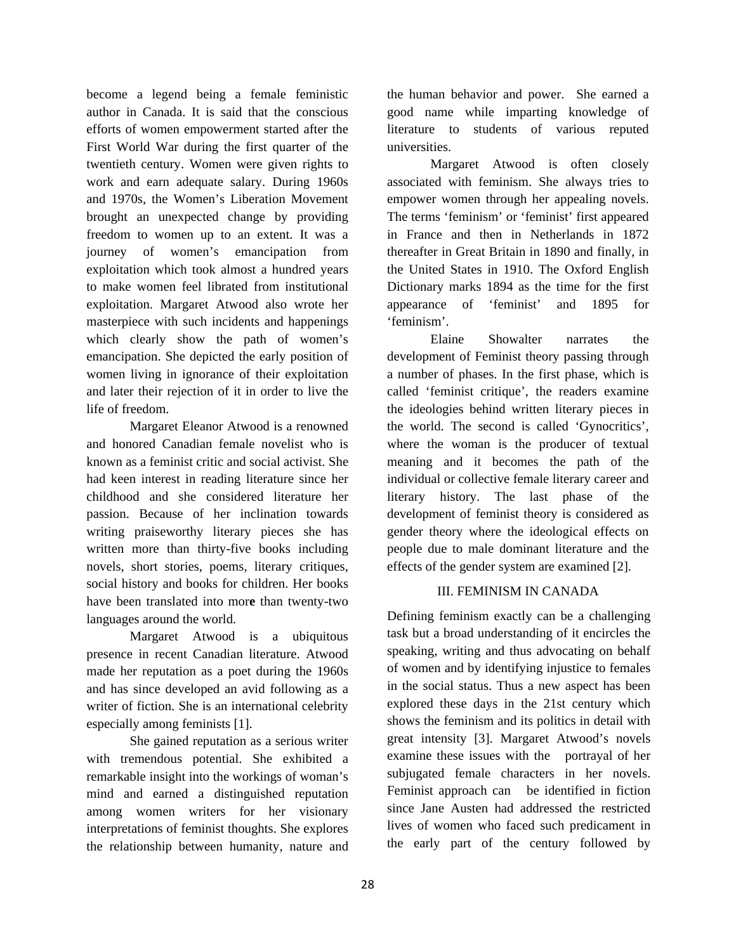become a legend being a female feministic author in Canada. It is said that the conscious efforts of women empowerment started after the First World War during the first quarter of the twentieth century. Women were given rights to work and earn adequate salary. During 1960s and 1970s, the Women's Liberation Movement brought an unexpected change by providing freedom to women up to an extent. It was a journey of women's emancipation from exploitation which took almost a hundred years to make women feel librated from institutional exploitation. Margaret Atwood also wrote her masterpiece with such incidents and happenings which clearly show the path of women's emancipation. She depicted the early position of women living in ignorance of their exploitation and later their rejection of it in order to live the life of freedom.

Margaret Eleanor Atwood is a renowned and honored Canadian female novelist who is known as a feminist critic and social activist. She had keen interest in reading literature since her childhood and she considered literature her passion. Because of her inclination towards writing praiseworthy literary pieces she has written more than thirty-five books including novels, short stories, poems, literary critiques, social history and books for children. Her books have been translated into mor**e** than twenty-two languages around the world.

Margaret Atwood is a ubiquitous presence in recent Canadian literature. Atwood made her reputation as a poet during the 1960s and has since developed an avid following as a writer of fiction. She is an international celebrity especially among feminists [1].

She gained reputation as a serious writer with tremendous potential. She exhibited a remarkable insight into the workings of woman's mind and earned a distinguished reputation among women writers for her visionary interpretations of feminist thoughts. She explores the relationship between humanity, nature and

the human behavior and power. She earned a good name while imparting knowledge of literature to students of various reputed universities.

Margaret Atwood is often closely associated with feminism. She always tries to empower women through her appealing novels. The terms 'feminism' or 'feminist' first appeared in France and then in Netherlands in 1872 thereafter in Great Britain in 1890 and finally, in the United States in 1910. The Oxford English Dictionary marks 1894 as the time for the first appearance of 'feminist' and 1895 for 'feminism'.

Elaine Showalter narrates the development of Feminist theory passing through a number of phases. In the first phase, which is called 'feminist critique', the readers examine the ideologies behind written literary pieces in the world. The second is called 'Gynocritics', where the woman is the producer of textual meaning and it becomes the path of the individual or collective female literary career and literary history. The last phase of the development of feminist theory is considered as gender theory where the ideological effects on people due to male dominant literature and the effects of the gender system are examined [2].

#### III. FEMINISM IN CANADA

Defining feminism exactly can be a challenging task but a broad understanding of it encircles the speaking, writing and thus advocating on behalf of women and by identifying injustice to females in the social status. Thus a new aspect has been explored these days in the 21st century which shows the feminism and its politics in detail with great intensity [3]. Margaret Atwood's novels examine these issues with the portrayal of her subjugated female characters in her novels. Feminist approach can be identified in fiction since Jane Austen had addressed the restricted lives of women who faced such predicament in the early part of the century followed by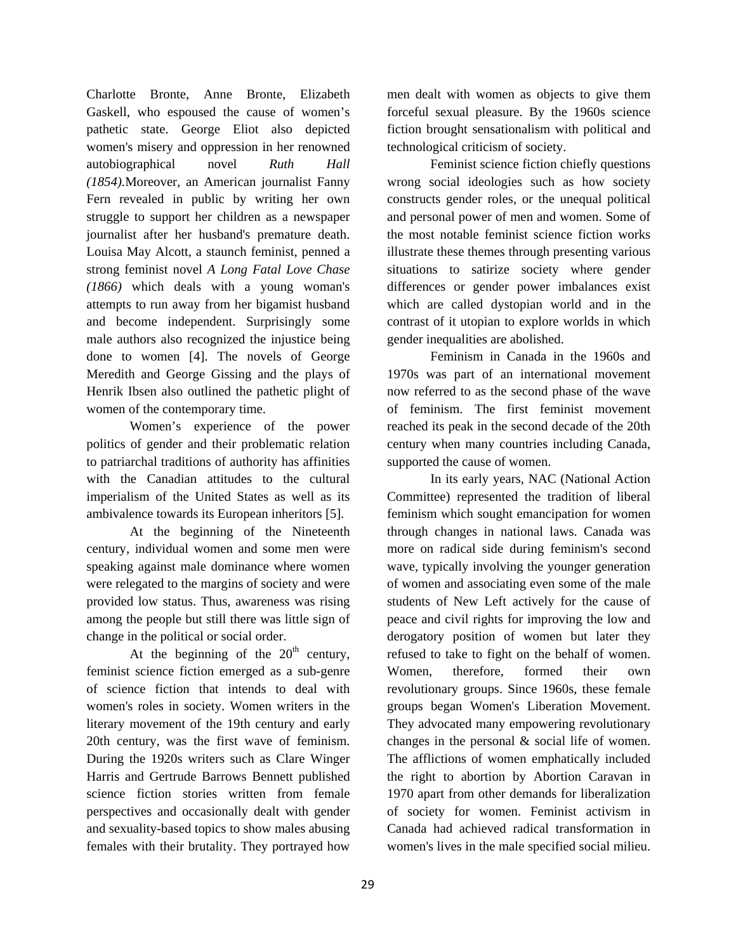Charlotte Bronte, Anne Bronte, Elizabeth Gaskell, who espoused the cause of women's pathetic state. George Eliot also depicted women's misery and oppression in her renowned autobiographical novel *Ruth Hall (1854).*Moreover*,* an American journalist Fanny Fern revealed in public by writing her own struggle to support her children as a newspaper journalist after her husband's premature death. Louisa May Alcott, a staunch feminist, penned a strong feminist novel *A Long Fatal Love Chase (1866)* which deals with a young woman's attempts to run away from her bigamist husband and become independent. Surprisingly some male authors also recognized the injustice being done to women [4]. The novels of George Meredith and George Gissing and the plays of Henrik Ibsen also outlined the pathetic plight of women of the contemporary time.

Women's experience of the power politics of gender and their problematic relation to patriarchal traditions of authority has affinities with the Canadian attitudes to the cultural imperialism of the United States as well as its ambivalence towards its European inheritors [5].

At the beginning of the Nineteenth century, individual women and some men were speaking against male dominance where women were relegated to the margins of society and were provided low status. Thus, awareness was rising among the people but still there was little sign of change in the political or social order.

At the beginning of the  $20<sup>th</sup>$  century, feminist science fiction emerged as a sub-genre of science fiction that intends to deal with women's roles in society. Women writers in the literary movement of the 19th century and early 20th century, was the first wave of feminism. During the 1920s writers such as Clare Winger Harris and Gertrude Barrows Bennett published science fiction stories written from female perspectives and occasionally dealt with gender and sexuality-based topics to show males abusing females with their brutality. They portrayed how

men dealt with women as objects to give them forceful sexual pleasure. By the 1960s science fiction brought sensationalism with political and technological criticism of society.

Feminist science fiction chiefly questions wrong social ideologies such as how society constructs gender roles, or the unequal political and personal power of men and women. Some of the most notable feminist science fiction works illustrate these themes through presenting various situations to satirize society where gender differences or gender power imbalances exist which are called dystopian world and in the contrast of it utopian to explore worlds in which gender inequalities are abolished.

Feminism in Canada in the 1960s and 1970s was part of an international movement now referred to as the second phase of the wave of feminism. The first feminist movement reached its peak in the second decade of the 20th century when many countries including Canada, supported the cause of women.

In its early years, NAC (National Action Committee) represented the tradition of liberal feminism which sought emancipation for women through changes in national laws. Canada was more on radical side during feminism's second wave, typically involving the younger generation of women and associating even some of the male students of New Left actively for the cause of peace and civil rights for improving the low and derogatory position of women but later they refused to take to fight on the behalf of women. Women, therefore, formed their own revolutionary groups. Since 1960s, these female groups began Women's Liberation Movement. They advocated many empowering revolutionary changes in the personal & social life of women. The afflictions of women emphatically included the right to abortion by Abortion Caravan in 1970 apart from other demands for liberalization of society for women. Feminist activism in Canada had achieved radical transformation in women's lives in the male specified social milieu.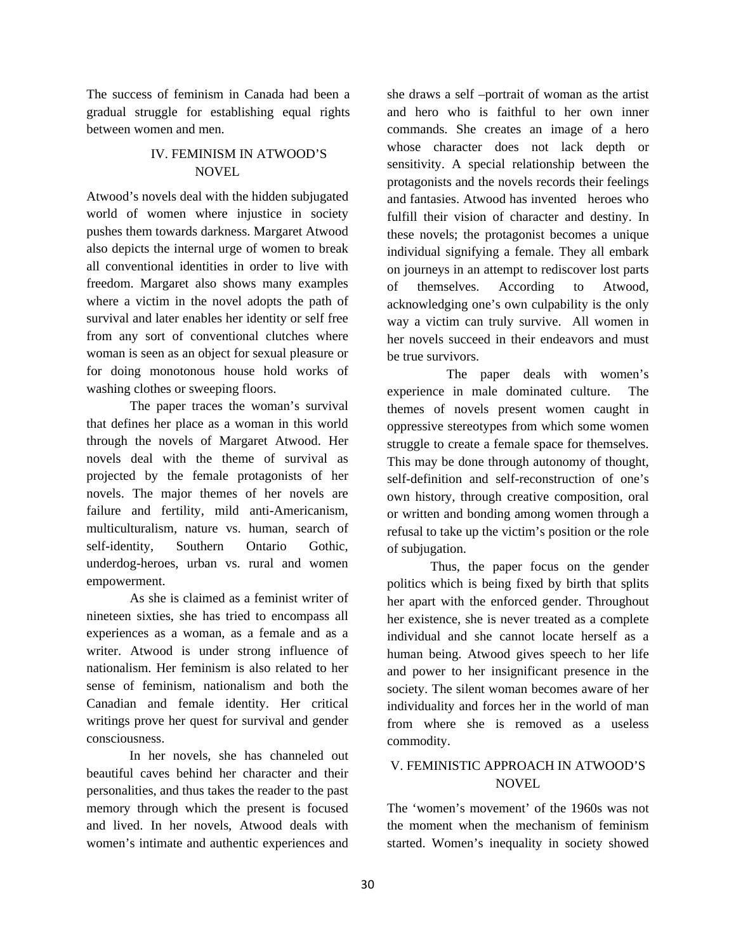The success of feminism in Canada had been a gradual struggle for establishing equal rights between women and men.

## IV. FEMINISM IN ATWOOD'S **NOVEL**

Atwood's novels deal with the hidden subjugated world of women where injustice in society pushes them towards darkness. Margaret Atwood also depicts the internal urge of women to break all conventional identities in order to live with freedom. Margaret also shows many examples where a victim in the novel adopts the path of survival and later enables her identity or self free from any sort of conventional clutches where woman is seen as an object for sexual pleasure or for doing monotonous house hold works of washing clothes or sweeping floors.

The paper traces the woman's survival that defines her place as a woman in this world through the novels of Margaret Atwood. Her novels deal with the theme of survival as projected by the female protagonists of her novels. The major themes of her novels are failure and fertility, mild anti-Americanism, multiculturalism, nature vs. human, search of self-identity, Southern Ontario Gothic, underdog-heroes, urban vs. rural and women empowerment.

As she is claimed as a feminist writer of nineteen sixties, she has tried to encompass all experiences as a woman, as a female and as a writer. Atwood is under strong influence of nationalism. Her feminism is also related to her sense of feminism, nationalism and both the Canadian and female identity. Her critical writings prove her quest for survival and gender consciousness.

 In her novels, she has channeled out beautiful caves behind her character and their personalities, and thus takes the reader to the past memory through which the present is focused and lived. In her novels, Atwood deals with women's intimate and authentic experiences and

she draws a self –portrait of woman as the artist and hero who is faithful to her own inner commands. She creates an image of a hero whose character does not lack depth or sensitivity. A special relationship between the protagonists and the novels records their feelings and fantasies. Atwood has invented heroes who fulfill their vision of character and destiny. In these novels; the protagonist becomes a unique individual signifying a female. They all embark on journeys in an attempt to rediscover lost parts of themselves. According to Atwood, acknowledging one's own culpability is the only way a victim can truly survive. All women in her novels succeed in their endeavors and must be true survivors.

The paper deals with women's experience in male dominated culture.The themes of novels present women caught in oppressive stereotypes from which some women struggle to create a female space for themselves. This may be done through autonomy of thought, self-definition and self-reconstruction of one's own history, through creative composition, oral or written and bonding among women through a refusal to take up the victim's position or the role of subjugation.

Thus, the paper focus on the gender politics which is being fixed by birth that splits her apart with the enforced gender. Throughout her existence, she is never treated as a complete individual and she cannot locate herself as a human being. Atwood gives speech to her life and power to her insignificant presence in the society. The silent woman becomes aware of her individuality and forces her in the world of man from where she is removed as a useless commodity.

# V. FEMINISTIC APPROACH IN ATWOOD'S NOVEL

The 'women's movement' of the 1960s was not the moment when the mechanism of feminism started. Women's inequality in society showed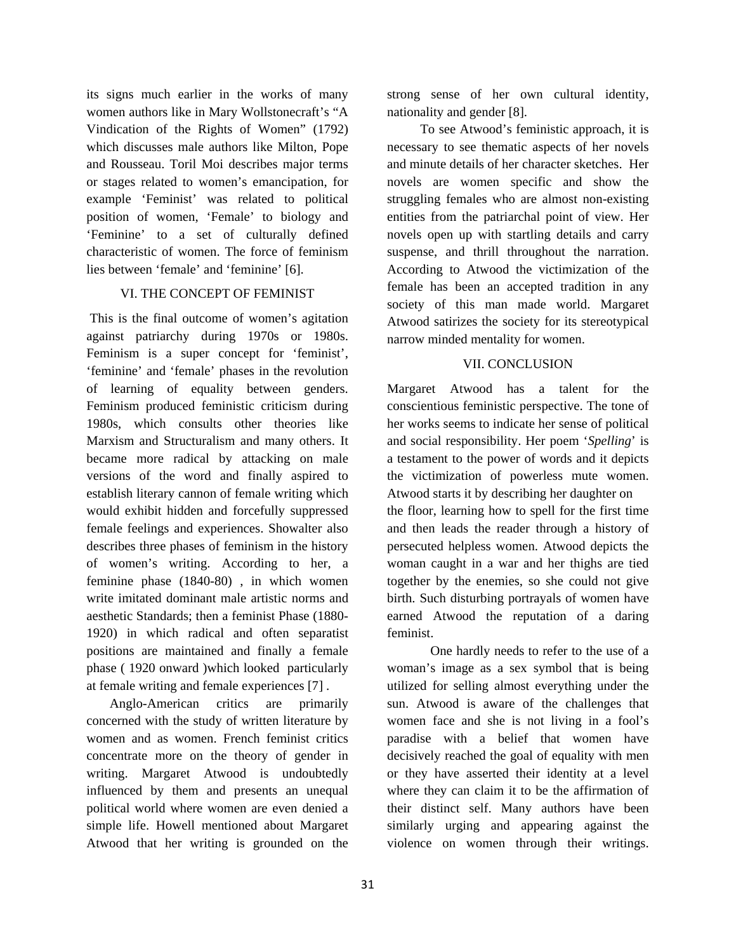its signs much earlier in the works of many women authors like in Mary Wollstonecraft's "A Vindication of the Rights of Women" (1792) which discusses male authors like Milton, Pope and Rousseau. Toril Moi describes major terms or stages related to women's emancipation, for example 'Feminist' was related to political position of women, 'Female' to biology and 'Feminine' to a set of culturally defined characteristic of women. The force of feminism lies between 'female' and 'feminine' [6].

#### VI. THE CONCEPT OF FEMINIST

 This is the final outcome of women's agitation against patriarchy during 1970s or 1980s. Feminism is a super concept for 'feminist', 'feminine' and 'female' phases in the revolution of learning of equality between genders. Feminism produced feministic criticism during 1980s, which consults other theories like Marxism and Structuralism and many others. It became more radical by attacking on male versions of the word and finally aspired to establish literary cannon of female writing which would exhibit hidden and forcefully suppressed female feelings and experiences. Showalter also describes three phases of feminism in the history of women's writing. According to her, a feminine phase (1840-80) , in which women write imitated dominant male artistic norms and aesthetic Standards; then a feminist Phase (1880- 1920) in which radical and often separatist positions are maintained and finally a female phase ( 1920 onward )which looked particularly at female writing and female experiences [7] .

Anglo-American critics are primarily concerned with the study of written literature by women and as women. French feminist critics concentrate more on the theory of gender in writing. Margaret Atwood is undoubtedly influenced by them and presents an unequal political world where women are even denied a simple life. Howell mentioned about Margaret Atwood that her writing is grounded on the

strong sense of her own cultural identity, nationality and gender [8].

 To see Atwood's feministic approach, it is necessary to see thematic aspects of her novels and minute details of her character sketches. Her novels are women specific and show the struggling females who are almost non-existing entities from the patriarchal point of view. Her novels open up with startling details and carry suspense, and thrill throughout the narration. According to Atwood the victimization of the female has been an accepted tradition in any society of this man made world. Margaret Atwood satirizes the society for its stereotypical narrow minded mentality for women.

### VII. CONCLUSION

Margaret Atwood has a talent for the conscientious feministic perspective. The tone of her works seems to indicate her sense of political and social responsibility. Her poem '*Spelling*' is a testament to the power of words and it depicts the victimization of powerless mute women. Atwood starts it by describing her daughter on the floor, learning how to spell for the first time and then leads the reader through a history of persecuted helpless women. Atwood depicts the woman caught in a war and her thighs are tied together by the enemies, so she could not give birth. Such disturbing portrayals of women have earned Atwood the reputation of a daring feminist.

One hardly needs to refer to the use of a woman's image as a sex symbol that is being utilized for selling almost everything under the sun. Atwood is aware of the challenges that women face and she is not living in a fool's paradise with a belief that women have decisively reached the goal of equality with men or they have asserted their identity at a level where they can claim it to be the affirmation of their distinct self. Many authors have been similarly urging and appearing against the violence on women through their writings.